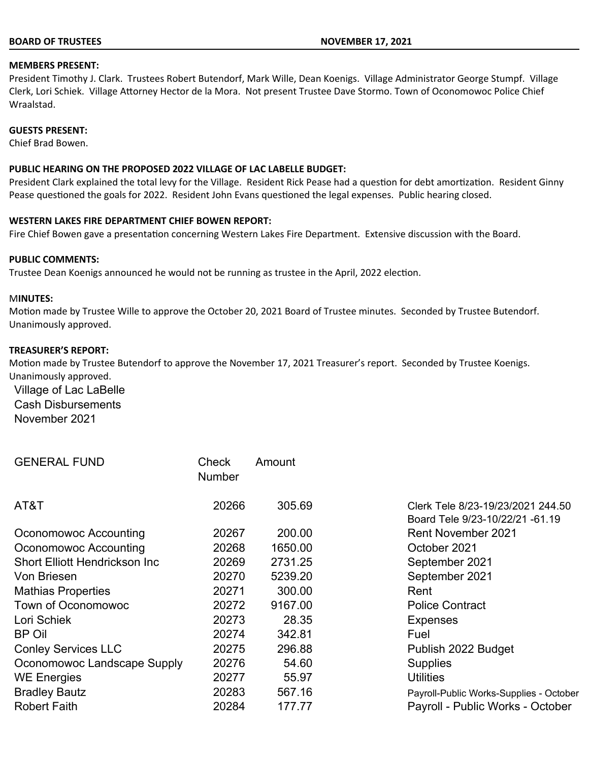#### **BOARD OF TRUSTEES NOVEMBER 17, 2021**

### **MEMBERS PRESENT:**

President Timothy J. Clark. Trustees Robert Butendorf, Mark Wille, Dean Koenigs. Village Administrator George Stumpf. Village Clerk, Lori Schiek. Village Attorney Hector de la Mora. Not present Trustee Dave Stormo. Town of Oconomowoc Police Chief Wraalstad.

### **GUESTS PRESENT:**

Chief Brad Bowen.

## **PUBLIC HEARING ON THE PROPOSED 2022 VILLAGE OF LAC LABELLE BUDGET:**

President Clark explained the total levy for the Village. Resident Rick Pease had a question for debt amortization. Resident Ginny Pease questioned the goals for 2022. Resident John Evans questioned the legal expenses. Public hearing closed.

### **WESTERN LAKES FIRE DEPARTMENT CHIEF BOWEN REPORT:**

Fire Chief Bowen gave a presentation concerning Western Lakes Fire Department. Extensive discussion with the Board.

#### **PUBLIC COMMENTS:**

Trustee Dean Koenigs announced he would not be running as trustee in the April, 2022 election.

#### M**INUTES:**

Motion made by Trustee Wille to approve the October 20, 2021 Board of Trustee minutes. Seconded by Trustee Butendorf. Unanimously approved.

#### **TREASURER'S REPORT:**

Motion made by Trustee Butendorf to approve the November 17, 2021 Treasurer's report. Seconded by Trustee Koenigs. Unanimously approved.

Village of Lac LaBelle Cash Disbursements November 2021

| <b>GENERAL FUND</b>                   | Check<br><b>Number</b> | Amount  |                                                                      |
|---------------------------------------|------------------------|---------|----------------------------------------------------------------------|
| AT&T                                  | 20266                  | 305.69  | Clerk Tele 8/23-19/23/2021 244.50<br>Board Tele 9/23-10/22/21 -61.19 |
| Oconomowoc Accounting                 | 20267                  | 200.00  | <b>Rent November 2021</b>                                            |
| Oconomowoc Accounting                 | 20268                  | 1650.00 | October 2021                                                         |
| <b>Short Elliott Hendrickson Inc.</b> | 20269                  | 2731.25 | September 2021                                                       |
| Von Briesen                           | 20270                  | 5239.20 | September 2021                                                       |
| <b>Mathias Properties</b>             | 20271                  | 300.00  | Rent                                                                 |
| Town of Oconomowoc                    | 20272                  | 9167.00 | <b>Police Contract</b>                                               |
| Lori Schiek                           | 20273                  | 28.35   | <b>Expenses</b>                                                      |
| <b>BP Oil</b>                         | 20274                  | 342.81  | Fuel                                                                 |
| <b>Conley Services LLC</b>            | 20275                  | 296.88  | Publish 2022 Budget                                                  |
| Oconomowoc Landscape Supply           | 20276                  | 54.60   | <b>Supplies</b>                                                      |
| <b>WE Energies</b>                    | 20277                  | 55.97   | <b>Utilities</b>                                                     |
| <b>Bradley Bautz</b>                  | 20283                  | 567.16  | Payroll-Public Works-Supplies - October                              |
| <b>Robert Faith</b>                   | 20284                  | 177.77  | Payroll - Public Works - October                                     |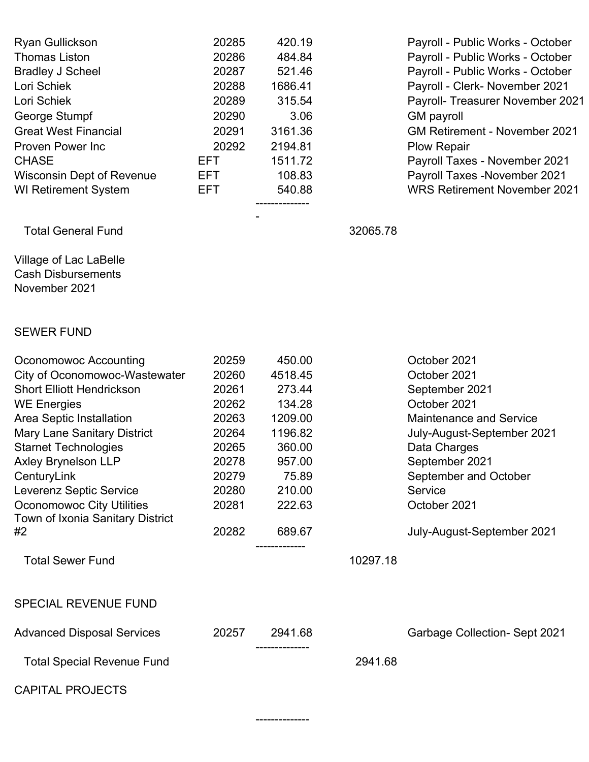| <b>Ryan Gullickson</b><br><b>Thomas Liston</b><br><b>Bradley J Scheel</b><br>Lori Schiek<br>Lori Schiek<br>George Stumpf<br><b>Great West Financial</b><br><b>Proven Power Inc</b><br><b>CHASE</b><br><b>Wisconsin Dept of Revenue</b>                                                                                                                                                             | 20285<br>20286<br>20287<br>20288<br>20289<br>20290<br>20291<br>20292<br><b>EFT</b><br>EFT.               | 420.19<br>484.84<br>521.46<br>1686.41<br>315.54<br>3.06<br>3161.36<br>2194.81<br>1511.72<br>108.83                         |          | Payroll - Public Works - October<br>Payroll - Public Works - October<br>Payroll - Public Works - October<br>Payroll - Clerk- November 2021<br>Payroll- Treasurer November 2021<br><b>GM</b> payroll<br><b>GM Retirement - November 2021</b><br><b>Plow Repair</b><br>Payroll Taxes - November 2021<br>Payroll Taxes - November 2021 |
|----------------------------------------------------------------------------------------------------------------------------------------------------------------------------------------------------------------------------------------------------------------------------------------------------------------------------------------------------------------------------------------------------|----------------------------------------------------------------------------------------------------------|----------------------------------------------------------------------------------------------------------------------------|----------|-------------------------------------------------------------------------------------------------------------------------------------------------------------------------------------------------------------------------------------------------------------------------------------------------------------------------------------|
| <b>WI Retirement System</b>                                                                                                                                                                                                                                                                                                                                                                        | <b>EFT</b>                                                                                               | 540.88                                                                                                                     |          | <b>WRS Retirement November 2021</b>                                                                                                                                                                                                                                                                                                 |
| <b>Total General Fund</b>                                                                                                                                                                                                                                                                                                                                                                          |                                                                                                          |                                                                                                                            | 32065.78 |                                                                                                                                                                                                                                                                                                                                     |
| Village of Lac LaBelle<br><b>Cash Disbursements</b><br>November 2021                                                                                                                                                                                                                                                                                                                               |                                                                                                          |                                                                                                                            |          |                                                                                                                                                                                                                                                                                                                                     |
| <b>SEWER FUND</b>                                                                                                                                                                                                                                                                                                                                                                                  |                                                                                                          |                                                                                                                            |          |                                                                                                                                                                                                                                                                                                                                     |
| Oconomowoc Accounting<br>City of Oconomowoc-Wastewater<br><b>Short Elliott Hendrickson</b><br><b>WE Energies</b><br>Area Septic Installation<br><b>Mary Lane Sanitary District</b><br><b>Starnet Technologies</b><br><b>Axley Brynelson LLP</b><br>CenturyLink<br>Leverenz Septic Service<br><b>Oconomowoc City Utilities</b><br>Town of Ixonia Sanitary District<br>#2<br><b>Total Sewer Fund</b> | 20259<br>20260<br>20261<br>20262<br>20263<br>20264<br>20265<br>20278<br>20279<br>20280<br>20281<br>20282 | 450.00<br>4518.45<br>273.44<br>134.28<br>1209.00<br>1196.82<br>360.00<br>957.00<br>75.89<br>210.00<br>222.63<br>689.67<br> | 10297.18 | October 2021<br>October 2021<br>September 2021<br>October 2021<br><b>Maintenance and Service</b><br>July-August-September 2021<br>Data Charges<br>September 2021<br>September and October<br>Service<br>October 2021<br>July-August-September 2021                                                                                  |
| <b>SPECIAL REVENUE FUND</b>                                                                                                                                                                                                                                                                                                                                                                        |                                                                                                          |                                                                                                                            |          |                                                                                                                                                                                                                                                                                                                                     |
| <b>Advanced Disposal Services</b>                                                                                                                                                                                                                                                                                                                                                                  | 20257                                                                                                    | 2941.68                                                                                                                    |          | <b>Garbage Collection- Sept 2021</b>                                                                                                                                                                                                                                                                                                |
| <b>Total Special Revenue Fund</b>                                                                                                                                                                                                                                                                                                                                                                  |                                                                                                          | -----------                                                                                                                | 2941.68  |                                                                                                                                                                                                                                                                                                                                     |
| <b>CAPITAL PROJECTS</b>                                                                                                                                                                                                                                                                                                                                                                            |                                                                                                          |                                                                                                                            |          |                                                                                                                                                                                                                                                                                                                                     |

--------------